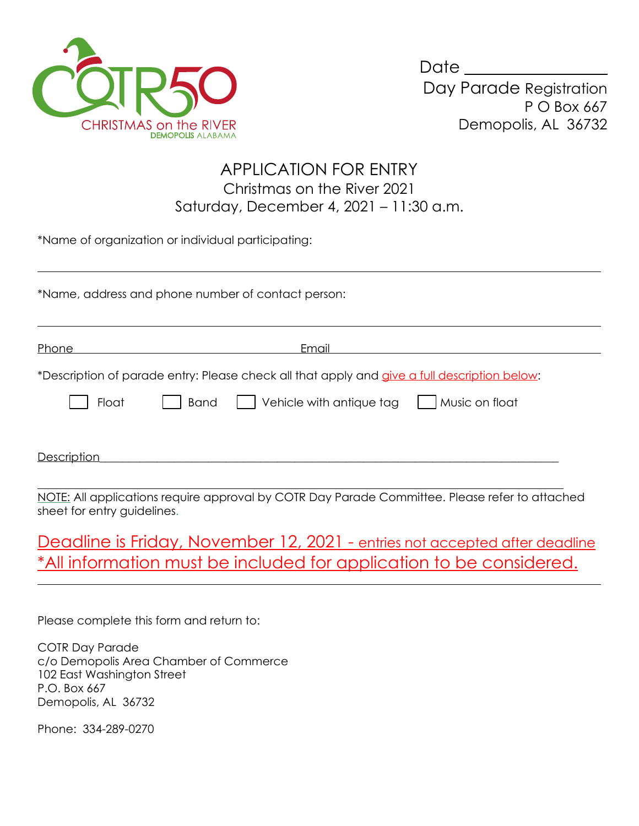

 $\overline{a}$ 

 $\overline{a}$ 

| Date                    |
|-------------------------|
| Day Parade Registration |
| $P$ O Box 667           |
| Demopolis, AL 36732     |

## APPLICATION FOR ENTRY Christmas on the River 2021 Saturday, December 4, 2021 – 11:30 a.m.

\*Name of organization or individual participating:

\*Name, address and phone number of contact person:

Phone Email \*Description of parade entry: Please check all that apply and give a full description below: Float  $\Box$  Band  $\Box$  Vehicle with antique tag  $\Box$  Music on float Description\_\_\_\_\_\_\_\_\_\_\_\_\_\_\_\_\_\_\_\_\_\_\_\_\_\_\_\_\_\_\_\_\_\_\_\_\_\_\_\_\_\_\_\_\_\_\_\_\_\_\_\_\_\_\_\_\_\_\_\_\_\_\_\_\_\_\_\_\_\_\_\_\_\_\_\_\_\_\_\_

 $\overline{a}$ NOTE: All applications require approval by COTR Day Parade Committee. Please refer to attached sheet for entry guidelines.

Deadline is Friday, November 12, 2021 - entries not accepted after deadline \*All information must be included for application to be considered.

Please complete this form and return to:

COTR Day Parade c/o Demopolis Area Chamber of Commerce 102 East Washington Street P.O. Box 667 Demopolis, AL 36732

Phone: 334-289-0270